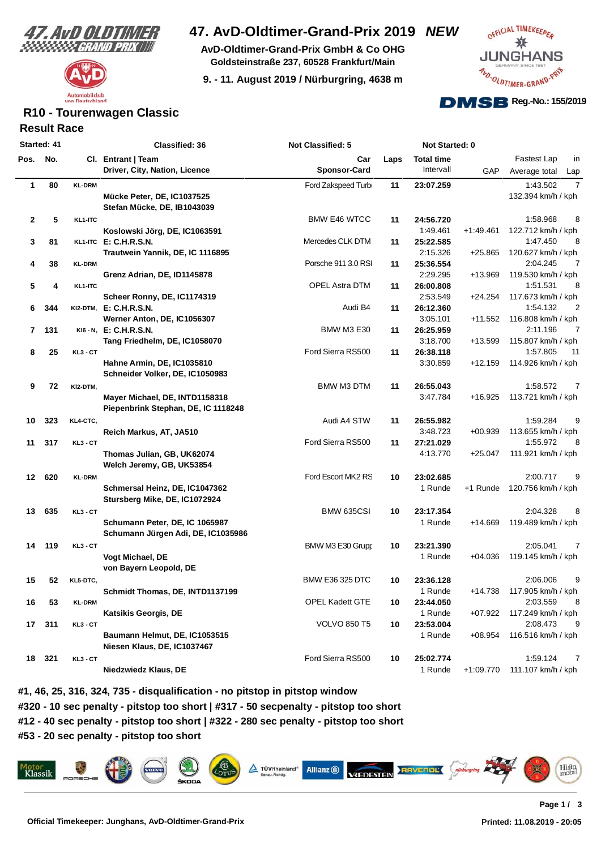



## **47. AvD-Oldtimer-Grand-Prix 2019** *NEW*

**AvD-Oldtimer-Grand-Prix GmbH & Co OHG Goldsteinstraße 237, 60528 Frankfurt/Main**

**9. - 11. August 2019 / Nürburgring, 4638 m**



## **Result Race R10 - Tourenwagen Classic**

|              | Started: 41 |               | Classified: 36                      | Not Classified: 5      |      | Not Started: 0    |             |                            |
|--------------|-------------|---------------|-------------------------------------|------------------------|------|-------------------|-------------|----------------------------|
| Pos. No.     |             |               | Cl. Entrant   Team                  | Car                    | Laps | <b>Total time</b> |             | Fastest Lap<br>in          |
|              |             |               | Driver, City, Nation, Licence       | <b>Sponsor-Card</b>    |      | Intervall         | GAP         | Average total<br>Lap       |
| 1            | 80          | <b>KL-DRM</b> |                                     | Ford Zakspeed Turb     | 11   | 23:07.259         |             | 7<br>1:43.502              |
|              |             |               | Mücke Peter, DE, IC1037525          |                        |      |                   |             | 132.394 km/h / kph         |
|              |             |               | Stefan Mücke, DE, IB1043039         |                        |      |                   |             |                            |
| $\mathbf{2}$ | 5           | KL1-ITC       |                                     | BMW E46 WTCC           | 11   | 24:56.720         |             | 1:58.968<br>8              |
|              |             |               | Koslowski Jörg, DE, IC1063591       |                        |      | 1:49.461          | $+1.49.461$ | 122.712 km/h / kph         |
| 3            | 81          |               | KL1-ITC E: C.H.R.S.N.               | Mercedes CLK DTM       | 11   | 25:22.585         |             | 1:47.450<br>8              |
|              |             |               | Trautwein Yannik, DE, IC 1116895    |                        |      | 2:15.326          | +25.865     | 120.627 km/h / kph         |
| 4            | 38          | <b>KL-DRM</b> |                                     | Porsche 911 3.0 RSI    | 11   | 25:36.554         |             | 2:04.245<br>7              |
|              |             |               | Grenz Adrian, DE, ID1145878         |                        |      | 2:29.295          | +13.969     | 119.530 km/h / kph         |
| 5            | 4           | KL1-ITC       |                                     | OPEL Astra DTM         | 11   | 26:00.808         |             | 1:51.531<br>8              |
|              |             |               | Scheer Ronny, DE, IC1174319         |                        |      | 2:53.549          | +24.254     | 117.673 km/h / kph         |
| 6            | 344         | KI2-DTM,      | E: C.H.R.S.N.                       | Audi B4                | 11   | 26:12.360         |             | 1:54.132<br>$\overline{2}$ |
|              |             |               | Werner Anton, DE, IC1056307         |                        |      | 3:05.101          | $+11.552$   | 116.808 km/h / kph         |
| 7            | 131         |               | KI6-N, E: C.H.R.S.N.                | BMW M3 E30             | 11   | 26:25.959         |             | 2:11.196<br>7              |
|              |             |               | Tang Friedhelm, DE, IC1058070       |                        |      | 3:18.700          | +13.599     | 115.807 km/h / kph         |
| 8            | 25          | KL3-CT        |                                     | Ford Sierra RS500      | 11   | 26:38.118         |             | 1:57.805<br>11             |
|              |             |               | Hahne Armin, DE, IC1035810          |                        |      | 3:30.859          | $+12.159$   | 114.926 km/h / kph         |
|              |             |               | Schneider Volker, DE, IC1050983     |                        |      |                   |             |                            |
| 9            | 72          | KI2-DTM,      |                                     | <b>BMW M3 DTM</b>      | 11   | 26:55.043         |             | 1:58.572<br>7              |
|              |             |               | Mayer Michael, DE, INTD1158318      |                        |      | 3:47.784          | $+16.925$   | 113.721 km/h / kph         |
|              |             |               | Piepenbrink Stephan, DE, IC 1118248 |                        |      |                   |             |                            |
| 10           | 323         | KL4-CTC,      |                                     | Audi A4 STW            | 11   | 26:55.982         |             | 1:59.284<br>9              |
|              |             |               | Reich Markus, AT, JA510             |                        |      | 3:48.723          | $+00.939$   | 113.655 km/h / kph         |
| 11           | 317         | KL3-CT        |                                     | Ford Sierra RS500      | 11   | 27:21.029         |             | 1:55.972<br>8              |
|              |             |               | Thomas Julian, GB, UK62074          |                        |      | 4:13.770          | $+25.047$   | 111.921 km/h / kph         |
|              |             |               | Welch Jeremy, GB, UK53854           |                        |      |                   |             |                            |
| 12           | 620         | <b>KL-DRM</b> |                                     | Ford Escort MK2 RS     | 10   | 23:02.685         |             | 2:00.717<br>9              |
|              |             |               | Schmersal Heinz, DE, IC1047362      |                        |      | 1 Runde           | +1 Runde    | 120.756 km/h / kph         |
|              |             |               | Stursberg Mike, DE, IC1072924       |                        |      |                   |             |                            |
| 13           | 635         | KL3-CT        |                                     | BMW 635CSI             | 10   | 23:17.354         |             | 2:04.328<br>8              |
|              |             |               | Schumann Peter, DE, IC 1065987      |                        |      | 1 Runde           | $+14.669$   | 119.489 km/h / kph         |
|              |             |               | Schumann Jürgen Adi, DE, IC1035986  |                        |      |                   |             |                            |
|              |             |               |                                     | BMW M3 E30 Grupp       |      | 23:21.390         |             | 2:05.041<br>7              |
| 14           | 119         | KL3-CT        | Vogt Michael, DE                    |                        | 10   | 1 Runde           | $+04.036$   |                            |
|              |             |               |                                     |                        |      |                   |             | 119.145 km/h / kph         |
|              |             |               | von Bayern Leopold, DE              |                        |      |                   |             |                            |
| 15           | 52          | KL5-DTC,      |                                     | <b>BMW E36 325 DTC</b> | 10   | 23:36.128         |             | 2:06.006<br>9              |
|              |             |               | Schmidt Thomas, DE, INTD1137199     |                        |      | 1 Runde           |             | +14.738 117.905 km/h / kph |
| 16           | 53          | <b>KL-DRM</b> |                                     | OPEL Kadett GTE        | 10   | 23:44.050         |             | 2:03.559<br>8              |
|              |             |               | Katsikis Georgis, DE                |                        |      | 1 Runde           | +07.922     | 117.249 km/h / kph         |
| 17           | 311         | KL3 - CT      |                                     | <b>VOLVO 850 T5</b>    | 10   | 23:53.004         |             | 2:08.473<br>9              |
|              |             |               | Baumann Helmut, DE, IC1053515       |                        |      | 1 Runde           | +08.954     | 116.516 km/h / kph         |
|              |             |               | Niesen Klaus, DE, IC1037467         |                        |      |                   |             |                            |
|              | 18 321      | KL3 - CT      |                                     | Ford Sierra RS500      | 10   | 25:02.774         |             | 1:59.124<br>7              |
|              |             |               | Niedzwiedz Klaus, DE                |                        |      | 1 Runde           | +1:09.770   | 111.107 km/h / kph         |

**#1, 46, 25, 316, 324, 735 - disqualification - no pitstop in pitstop window #320 - 10 sec penalty - pitstop too short | #317 - 50 secpenalty - pitstop too short #12 - 40 sec penalty - pitstop too short | #322 - 280 sec penalty - pitstop too short #53 - 20 sec penalty - pitstop too short**

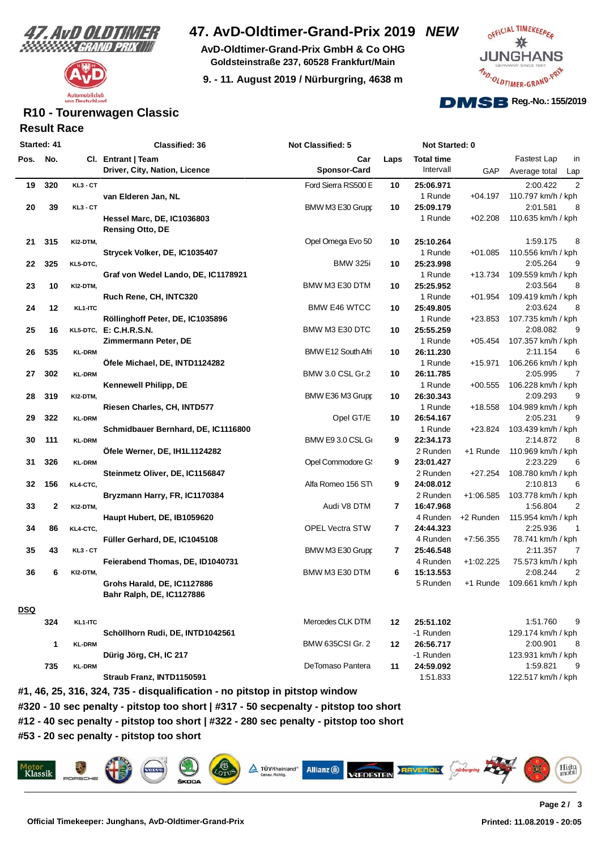



## **47. AvD-Oldtimer-Grand-Prix 2019** *NEW*

**AvD-Oldtimer-Grand-Prix GmbH & Co OHG Goldsteinstraße 237, 60528 Frankfurt/Main**

**9. - 11. August 2019 / Nürburgring, 4638 m**



## **Result Race R10 - Tourenwagen Classic**

| Started: 41 |     |               | <b>Classified: 36</b>               | <b>Not Classified: 5</b> | Not Started: 0 |                       |             |                                     |
|-------------|-----|---------------|-------------------------------------|--------------------------|----------------|-----------------------|-------------|-------------------------------------|
| Pos. No.    |     |               | Cl. Entrant   Team                  | Car                      | Laps           | <b>Total time</b>     |             | Fastest Lap<br>in                   |
|             |     |               | Driver, City, Nation, Licence       | <b>Sponsor-Card</b>      |                | Intervall             | GAP         | Average total<br>Lap                |
|             |     |               |                                     | Ford Sierra RS500 E      |                |                       |             | $\overline{2}$<br>2:00.422          |
| 19          | 320 | KL3-CT        |                                     |                          | 10             | 25:06.971             |             |                                     |
|             |     |               | van Elderen Jan, NL                 |                          |                | 1 Runde               | +04.197     | 110.797 km/h / kph                  |
| 20          | 39  | KL3 - CT      |                                     | BMW M3 E30 Grupp         | 10             | 25:09.179             |             | 2:01.581<br>8                       |
|             |     |               | Hessel Marc, DE, IC1036803          |                          |                | 1 Runde               | $+02.208$   | 110.635 km/h / kph                  |
|             |     |               | <b>Rensing Otto, DE</b>             |                          |                |                       |             |                                     |
| 21          | 315 | KI2-DTM,      |                                     | Opel Omega Evo 50        | 10             | 25:10.264             |             | 1:59.175<br>8                       |
|             |     |               | Strycek Volker, DE, IC1035407       |                          |                | 1 Runde               | $+01.085$   | 110.556 km/h / kph                  |
| 22          | 325 | KL5-DTC,      |                                     | <b>BMW 325i</b>          | 10             | 25:23.998             |             | 2:05.264<br>9                       |
|             |     |               | Graf von Wedel Lando, DE, IC1178921 |                          |                | 1 Runde               | +13.734     | 109.559 km/h / kph                  |
| 23          | 10  | KI2-DTM,      |                                     | BMW M3 E30 DTM           | 10             | 25:25.952             |             | 2:03.564<br>8                       |
|             |     |               | Ruch Rene, CH, INTC320              |                          |                | 1 Runde               | $+01.954$   | 109.419 km/h / kph                  |
| 24          | 12  | KL1-ITC       |                                     | <b>BMW E46 WTCC</b>      | 10             | 25:49.805             |             | 8<br>2:03.624                       |
|             |     |               | Röllinghoff Peter, DE, IC1035896    |                          |                | 1 Runde               | +23.853     | 107.735 km/h / kph                  |
| 25          | 16  |               | KL5-DTC, E: C.H.R.S.N.              | BMW M3 E30 DTC           | 10             | 25:55.259             |             | 2:08.082<br>9                       |
|             |     |               | Zimmermann Peter, DE                |                          |                | 1 Runde               | +05.454     | 107.357 km/h / kph                  |
| 26          | 535 | <b>KL-DRM</b> |                                     | BMW E12 South Afri       | 10             | 26:11.230             |             | 2:11.154<br>6                       |
|             |     |               | Öfele Michael, DE, INTD1124282      |                          |                | 1 Runde               | $+15.971$   | 106.266 km/h / kph                  |
| 27          | 302 | <b>KL-DRM</b> |                                     | <b>BMW 3.0 CSL Gr.2</b>  | 10             | 26:11.785             |             | 2:05.995<br>7                       |
|             |     |               | Kennewell Philipp, DE               |                          |                | 1 Runde               | $+00.555$   | 106.228 km/h / kph                  |
| 28          | 319 | KI2-DTM,      |                                     | BMW E36 M3 Grupp         | 10             | 26:30.343             |             | 2:09.293<br>9                       |
|             |     |               | Riesen Charles, CH, INTD577         | Opel GT/E                |                | 1 Runde               | +18.558     | 104.989 km/h / kph                  |
| 29          | 322 | <b>KL-DRM</b> |                                     |                          | 10             | 26:54.167             |             | 9<br>2:05.231                       |
|             |     |               | Schmidbauer Bernhard, DE, IC1116800 |                          |                | 1 Runde               | +23.824     | 103.439 km/h / kph                  |
| 30          | 111 | <b>KL-DRM</b> |                                     | BMW E9 3.0 CSL GI        | 9              | 22:34.173<br>2 Runden |             | 2:14.872<br>8                       |
|             | 326 | <b>KL-DRM</b> | Öfele Werner, DE, IH1L1124282       | Opel Commodore G:        | 9              | 23:01.427             | +1 Runde    | 110.969 km/h / kph<br>2:23.229<br>6 |
| 31          |     |               |                                     |                          |                |                       |             |                                     |
| 32          | 156 | KL4-CTC,      | Steinmetz Oliver, DE, IC1156847     | Alfa Romeo 156 ST        | 9              | 2 Runden<br>24:08.012 | +27.254     | 108.780 km/h / kph<br>2:10.813<br>6 |
|             |     |               | Bryzmann Harry, FR, IC1170384       |                          |                | 2 Runden              | $+1:06.585$ | 103.778 km/h / kph                  |
| 33          | 2   | KI2-DTM,      |                                     | Audi V8 DTM              | 7              | 16:47.968             |             | $\overline{2}$<br>1:56.804          |
|             |     |               | Haupt Hubert, DE, IB1059620         |                          |                | 4 Runden              | +2 Runden   | 115.954 km/h / kph                  |
| 34          | 86  | KL4-CTC,      |                                     | <b>OPEL Vectra STW</b>   | 7              | 24:44.323             |             | 2:25.936<br>$\mathbf 1$             |
|             |     |               | Füller Gerhard, DE, IC1045108       |                          |                | 4 Runden              | $+7:56.355$ | 78.741 km/h / kph                   |
| 35          | 43  | KL3 - CT      |                                     | BMW M3 E30 Grupp         | 7              | 25:46.548             |             | 7<br>2:11.357                       |
|             |     |               | Feierabend Thomas, DE, ID1040731    |                          |                | 4 Runden              | $+1:02.225$ | 75.573 km/h / kph                   |
| 36          | 6   | KI2-DTM,      |                                     | BMW M3 E30 DTM           | 6              | 15:13.553             |             | 2:08.244<br>$\overline{c}$          |
|             |     |               | Grohs Harald, DE, IC1127886         |                          |                | 5 Runden              | +1 Runde    | 109.661 km/h / kph                  |
|             |     |               | Bahr Ralph, DE, IC1127886           |                          |                |                       |             |                                     |
|             |     |               |                                     |                          |                |                       |             |                                     |
| <b>DSQ</b>  |     |               |                                     |                          |                |                       |             |                                     |
|             | 324 | KL1-ITC       |                                     | Mercedes CLK DTM         | 12             | 25:51.102             |             | 1:51.760<br>9                       |
|             |     |               | Schöllhorn Rudi, DE, INTD1042561    |                          |                | -1 Runden             |             | 129.174 km/h / kph                  |
|             | 1   | <b>KL-DRM</b> |                                     | <b>BMW 635CSI Gr. 2</b>  | 12             | 26:56.717             |             | 2:00.901<br>8                       |
|             |     |               | Dürig Jörg, CH, IC 217              |                          |                | -1 Runden             |             | 123.931 km/h / kph                  |
|             | 735 | <b>KL-DRM</b> |                                     | DeTomaso Pantera         | 11             | 24:59.092             |             | 1:59.821<br>9                       |
|             |     |               | Straub Franz, INTD1150591           |                          |                | 1:51.833              |             | 122.517 km/h / kph                  |

**#1, 46, 25, 316, 324, 735 - disqualification - no pitstop in pitstop window**

**#320 - 10 sec penalty - pitstop too short | #317 - 50 secpenalty - pitstop too short**

**#12 - 40 sec penalty - pitstop too short | #322 - 280 sec penalty - pitstop too short**

**#53 - 20 sec penalty - pitstop too short**